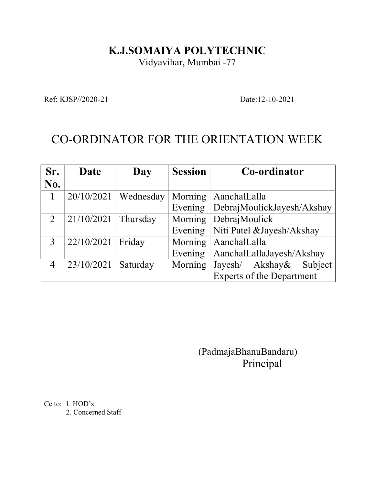## K.J.SOMAIYA POLYTECHNIC

Vidyavihar, Mumbai -77

Ref: KJSP//2020-21 Date:12-10-2021

## CO-ORDINATOR FOR THE ORIENTATION WEEK

| Sr. | Date       | Day       | <b>Session</b> | Co-ordinator                       |
|-----|------------|-----------|----------------|------------------------------------|
| No. |            |           |                |                                    |
|     | 20/10/2021 | Wednesday |                | Morning   AanchalLalla             |
|     |            |           |                | Evening DebrajMoulickJayesh/Akshay |
| 2   | 21/10/2021 | Thursday  |                | Morning   DebrajMoulick            |
|     |            |           | Evening        | Niti Patel & Jayesh/Akshay         |
| 3   | 22/10/2021 | Friday    | Morning        | AanchalLalla                       |
|     |            |           | Evening        | AanchalLallaJayesh/Akshay          |
| 4   | 23/10/2021 | Saturday  | Morning        | Jayesh/ Akshay&<br>Subject         |
|     |            |           |                | <b>Experts of the Department</b>   |

 (PadmajaBhanuBandaru) Principal

Cc to: 1. HOD's 2. Concerned Staff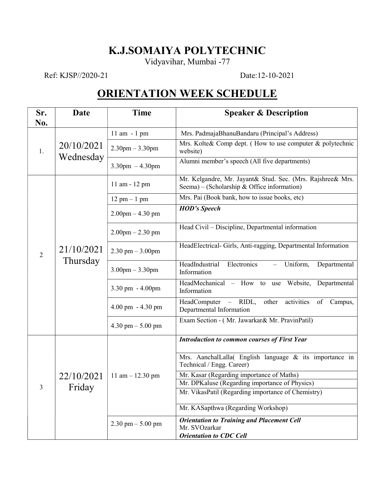## K.J.SOMAIYA POLYTECHNIC

Vidyavihar, Mumbai -77

Ref: KJSP//2020-21 Date:12-10-2021

## ORIENTATION WEEK SCHEDULE

| Sr.<br>No.     | Date                    | <b>Time</b>                         | <b>Speaker &amp; Description</b>                                                                          |  |
|----------------|-------------------------|-------------------------------------|-----------------------------------------------------------------------------------------------------------|--|
| 1.             | 20/10/2021<br>Wednesday | 11 am - 1 pm                        | Mrs. PadmajaBhanuBandaru (Principal's Address)                                                            |  |
|                |                         | $2.30$ pm $-3.30$ pm                | Mrs. Kolte& Comp dept. (How to use computer & polytechnic<br>website)                                     |  |
|                |                         | $3.30$ pm $-4.30$ pm                | Alumni member's speech (All five departments)                                                             |  |
| $\overline{2}$ | 21/10/2021<br>Thursday  | 11 am - 12 pm                       | Mr. Kelgandre, Mr. Jayant& Stud. Sec. (Mrs. Rajshree& Mrs.<br>Seema) – (Scholarship & Office information) |  |
|                |                         | $12 \text{ pm} - 1 \text{ pm}$      | Mrs. Pai (Book bank, how to issue books, etc)                                                             |  |
|                |                         | $2.00$ pm $- 4.30$ pm               | <b>HOD's Speech</b>                                                                                       |  |
|                |                         | $2.00$ pm $- 2.30$ pm               | Head Civil – Discipline, Departmental information                                                         |  |
|                |                         | $2.30$ pm $-3.00$ pm                | HeadElectrical- Girls, Anti-ragging, Departmental Information                                             |  |
|                |                         | $3.00$ pm $-3.30$ pm                | HeadIndustrial<br>Electronics<br>Uniform,<br>Departmental<br>Information                                  |  |
|                |                         | $3.30 \text{ pm} - 4.00 \text{pm}$  | HeadMechanical - How to use<br>Website, Departmental<br>Information                                       |  |
|                |                         | $4.00 \text{ pm} - 4.30 \text{ pm}$ | HeadComputer - RIDL,<br>activities<br>other<br>of<br>Campus,<br>Departmental Information                  |  |
|                |                         | 4.30 pm $-$ 5.00 pm                 | Exam Section - (Mr. Jawarkar& Mr. PravinPatil)                                                            |  |
| 3              | 22/10/2021<br>Friday    | 11 am $-$ 12.30 pm                  | <b>Introduction to common courses of First Year</b>                                                       |  |
|                |                         |                                     | Mrs. AanchalLalla( English language & its importance in<br>Technical / Engg. Career)                      |  |
|                |                         |                                     | Mr. Kasar (Regarding importance of Maths)                                                                 |  |
|                |                         |                                     | Mr. DPKaluse (Regarding importance of Physics)                                                            |  |
|                |                         |                                     | Mr. VikasPatil (Regarding importance of Chemistry)                                                        |  |
|                |                         |                                     | Mr. KASapthwa (Regarding Workshop)                                                                        |  |
|                |                         | $2.30$ pm $- 5.00$ pm               | <b>Orientation to Training and Placement Cell</b><br>Mr. SVOzarkar                                        |  |
|                |                         |                                     | <b>Orientation to CDC Cell</b>                                                                            |  |